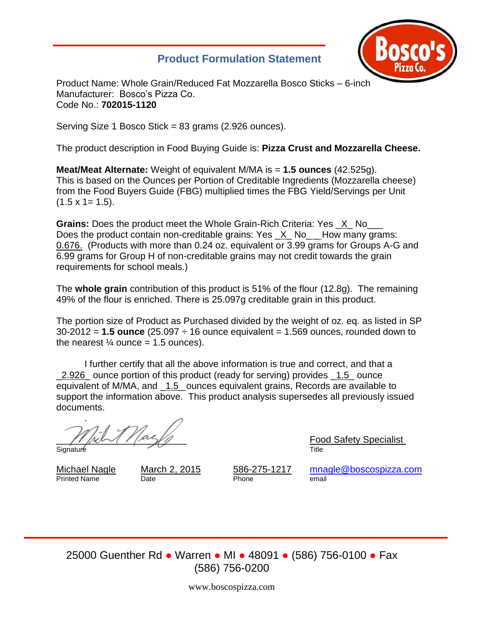# **Product Formulation Statement**



Product Name: Whole Grain/Reduced Fat Mozzarella Bosco Sticks – 6-inch Manufacturer: Bosco's Pizza Co. Code No.: **702015-1120**

Serving Size 1 Bosco Stick = 83 grams (2.926 ounces).

The product description in Food Buying Guide is: **Pizza Crust and Mozzarella Cheese.**

**Meat/Meat Alternate:** Weight of equivalent M/MA is = **1.5 ounces** (42.525g). This is based on the Ounces per Portion of Creditable Ingredients (Mozzarella cheese) from the Food Buyers Guide (FBG) multiplied times the FBG Yield/Servings per Unit  $(1.5 \times 1 = 1.5)$ .

**Grains:** Does the product meet the Whole Grain-Rich Criteria: Yes \_X\_ No\_\_\_ Does the product contain non-creditable grains: Yes X No How many grams: 0.676. (Products with more than 0.24 oz. equivalent or 3.99 grams for Groups A-G and 6.99 grams for Group H of non-creditable grains may not credit towards the grain requirements for school meals.)

The **whole grain** contribution of this product is 51% of the flour (12.8g). The remaining 49% of the flour is enriched. There is 25.097g creditable grain in this product.

The portion size of Product as Purchased divided by the weight of oz. eq. as listed in SP 30-2012 = **1.5 ounce** (25.097 ÷ 16 ounce equivalent = 1.569 ounces, rounded down to the nearest  $\frac{1}{4}$  ounce = 1.5 ounces).

I further certify that all the above information is true and correct, and that a \_2.926\_ ounce portion of this product (ready for serving) provides \_1.5\_ ounce equivalent of M/MA, and \_1.5\_ ounces equivalent grains, Records are available to support the information above. This product analysis supersedes all previously issued documents.

. Signature Title

Printed Name Date **Date** Phone email

\_\_\_\_\_\_\_\_\_\_\_\_\_\_\_\_\_\_\_\_\_\_\_\_\_ Food Safety Specialist

Michael Nagle March 2, 2015 586-275-1217 [mnagle@boscospizza.com](mailto:mnagle@boscospizza.com)

25000 Guenther Rd ● Warren ● MI ● 48091 ● (586) 756-0100 ● Fax (586) 756-0200

www.boscospizza.com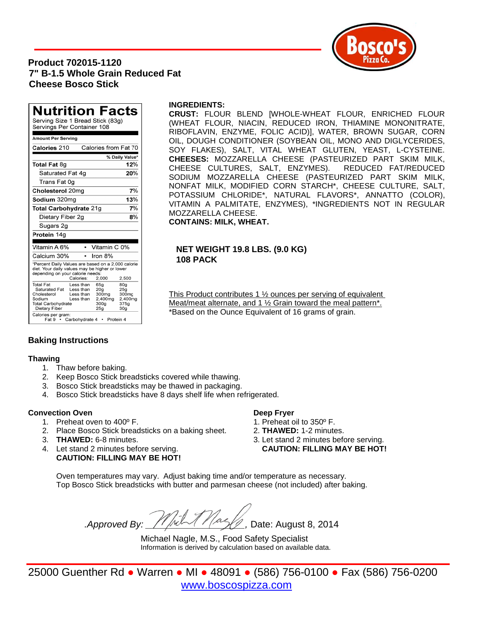# **Product 702015-1120 7" B-1.5 Whole Grain Reduced Fat Cheese Bosco Stick**



#### **INGREDIENTS:**

**CRUST:** FLOUR BLEND [WHOLE-WHEAT FLOUR, ENRICHED FLOUR (WHEAT FLOUR, NIACIN, REDUCED IRON, THIAMINE MONONITRATE, RIBOFLAVIN, ENZYME, FOLIC ACID)], WATER, BROWN SUGAR, CORN OIL, DOUGH CONDITIONER (SOYBEAN OIL, MONO AND DIGLYCERIDES, SOY FLAKES), SALT, VITAL WHEAT GLUTEN, YEAST, L-CYSTEINE. **CHEESES:** MOZZARELLA CHEESE (PASTEURIZED PART SKIM MILK, CHEESE CULTURES, SALT, ENZYMES). REDUCED FAT/REDUCED SODIUM MOZZARELLA CHEESE (PASTEURIZED PART SKIM MILK, NONFAT MILK, MODIFIED CORN STARCH\*, CHEESE CULTURE, SALT, POTASSIUM CHLORIDE\*, NATURAL FLAVORS\*, ANNATTO (COLOR), VITAMIN A PALMITATE, ENZYMES), \*INGREDIENTS NOT IN REGULAR MOZZARELLA CHEESE. **CONTAINS: MILK, WHEAT.** 

## **NET WEIGHT 19.8 LBS. (9.0 KG) 108 PACK**

This Product contributes 1 <sup>1</sup>/<sub>2</sub> ounces per serving of equivalent Meat/meat alternate, and 1 ½ Grain toward the meal pattern\*. \*Based on the Ounce Equivalent of 16 grams of grain.

# **Baking Instructions**

#### **Thawing**

- 1. Thaw before baking.
- 2. Keep Bosco Stick breadsticks covered while thawing.
- 3. Bosco Stick breadsticks may be thawed in packaging.
- 4. Bosco Stick breadsticks have 8 days shelf life when refrigerated.

## **Convection Oven Deep Fryer**

- 1. Preheat oven to 400° F. 1. Preheat oil to 350° F.
- 2. Place Bosco Stick breadsticks on a baking sheet. 2. **THAWED:** 1-2 minutes.
- 
- **CAUTION: FILLING MAY BE HOT!**

- 
- 
- 3. **THAWED:** 6-8 minutes. 3. Let stand 2 minutes before serving. 4. Let stand 2 minutes before serving. **CAUTION: FILLING MAY BE HOT!**

Oven temperatures may vary. Adjust baking time and/or temperature as necessary. Top Bosco Stick breadsticks with butter and parmesan cheese (not included) after baking.

*.Approved By: \_\_\_\_\_\_\_\_\_\_\_\_\_\_\_\_\_\_\_,* Date: August 8, 2014

Michael Nagle, M.S., Food Safety Specialist Information is derived by calculation based on available data.

25000 Guenther Rd ● Warren ● MI ● 48091 ● (586) 756-0100 ● Fax (586) 756-0200 [www.boscospizza.com](http://www.boscospizza.com/)